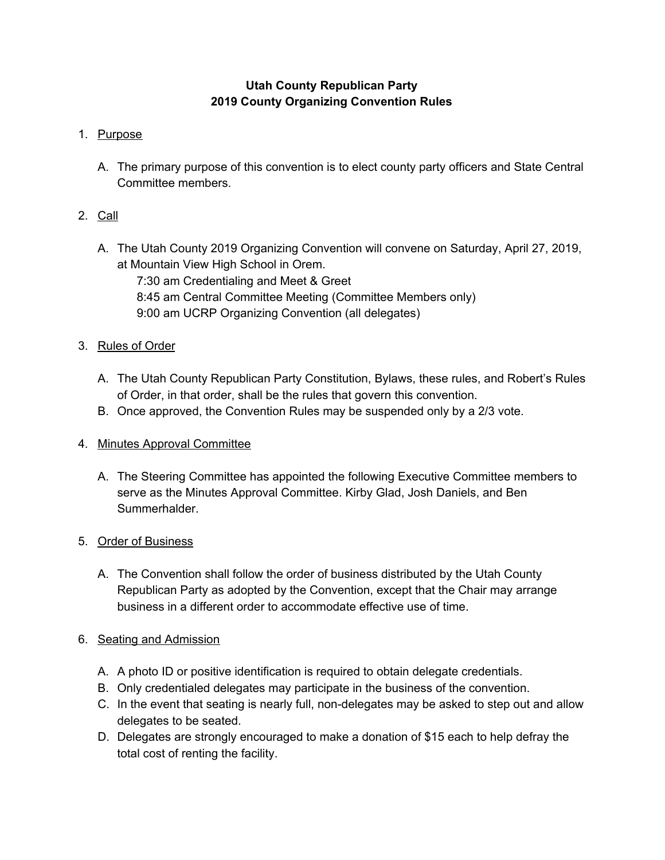# **Utah County Republican Party 2019 County Organizing Convention Rules**

## 1. Purpose

A. The primary purpose of this convention is to elect county party officers and State Central Committee members.

## 2. Call

- A. The Utah County 2019 Organizing Convention will convene on Saturday, April 27, 2019, at Mountain View High School in Orem.
	- 7:30 am Credentialing and Meet & Greet 8:45 am Central Committee Meeting (Committee Members only) 9:00 am UCRP Organizing Convention (all delegates)

## 3. Rules of Order

- A. The Utah County Republican Party Constitution, Bylaws, these rules, and Robert's Rules of Order, in that order, shall be the rules that govern this convention.
- B. Once approved, the Convention Rules may be suspended only by a 2/3 vote.

#### 4. Minutes Approval Committee

A. The Steering Committee has appointed the following Executive Committee members to serve as the Minutes Approval Committee. Kirby Glad, Josh Daniels, and Ben Summerhalder.

#### 5. Order of Business

A. The Convention shall follow the order of business distributed by the Utah County Republican Party as adopted by the Convention, except that the Chair may arrange business in a different order to accommodate effective use of time.

#### 6. Seating and Admission

- A. A photo ID or positive identification is required to obtain delegate credentials.
- B. Only credentialed delegates may participate in the business of the convention.
- C. In the event that seating is nearly full, non-delegates may be asked to step out and allow delegates to be seated.
- D. Delegates are strongly encouraged to make a donation of \$15 each to help defray the total cost of renting the facility.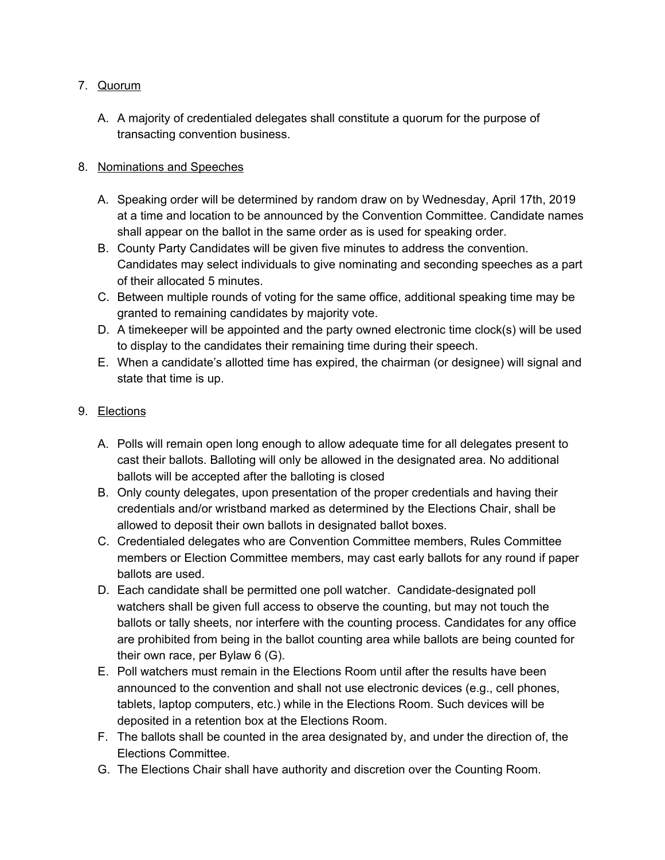#### 7. Quorum

A. A majority of credentialed delegates shall constitute a quorum for the purpose of transacting convention business.

### 8. Nominations and Speeches

- A. Speaking order will be determined by random draw on by Wednesday, April 17th, 2019 at a time and location to be announced by the Convention Committee. Candidate names shall appear on the ballot in the same order as is used for speaking order.
- B. County Party Candidates will be given five minutes to address the convention. Candidates may select individuals to give nominating and seconding speeches as a part of their allocated 5 minutes.
- C. Between multiple rounds of voting for the same office, additional speaking time may be granted to remaining candidates by majority vote.
- D. A timekeeper will be appointed and the party owned electronic time clock(s) will be used to display to the candidates their remaining time during their speech.
- E. When a candidate's allotted time has expired, the chairman (or designee) will signal and state that time is up.

## 9. Elections

- A. Polls will remain open long enough to allow adequate time for all delegates present to cast their ballots. Balloting will only be allowed in the designated area. No additional ballots will be accepted after the balloting is closed
- B. Only county delegates, upon presentation of the proper credentials and having their credentials and/or wristband marked as determined by the Elections Chair, shall be allowed to deposit their own ballots in designated ballot boxes.
- C. Credentialed delegates who are Convention Committee members, Rules Committee members or Election Committee members, may cast early ballots for any round if paper ballots are used.
- D. Each candidate shall be permitted one poll watcher. Candidate-designated poll watchers shall be given full access to observe the counting, but may not touch the ballots or tally sheets, nor interfere with the counting process. Candidates for any office are prohibited from being in the ballot counting area while ballots are being counted for their own race, per Bylaw 6 (G).
- E. Poll watchers must remain in the Elections Room until after the results have been announced to the convention and shall not use electronic devices (e.g., cell phones, tablets, laptop computers, etc.) while in the Elections Room. Such devices will be deposited in a retention box at the Elections Room.
- F. The ballots shall be counted in the area designated by, and under the direction of, the Elections Committee.
- G. The Elections Chair shall have authority and discretion over the Counting Room.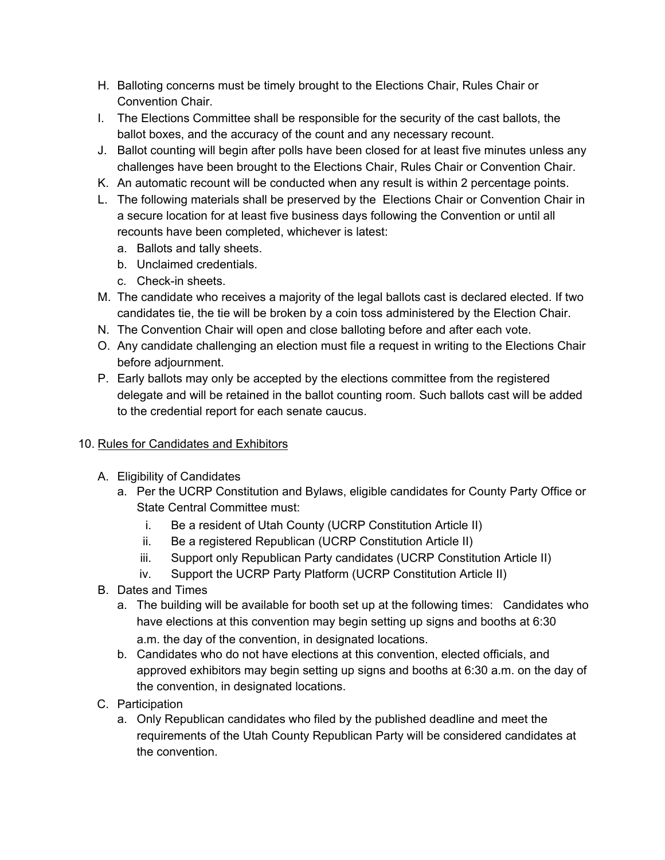- H. Balloting concerns must be timely brought to the Elections Chair, Rules Chair or Convention Chair.
- I. The Elections Committee shall be responsible for the security of the cast ballots, the ballot boxes, and the accuracy of the count and any necessary recount.
- J. Ballot counting will begin after polls have been closed for at least five minutes unless any challenges have been brought to the Elections Chair, Rules Chair or Convention Chair.
- K. An automatic recount will be conducted when any result is within 2 percentage points.
- L. The following materials shall be preserved by the Elections Chair or Convention Chair in a secure location for at least five business days following the Convention or until all recounts have been completed, whichever is latest:
	- a. Ballots and tally sheets.
	- b. Unclaimed credentials.
	- c. Check-in sheets.
- M. The candidate who receives a majority of the legal ballots cast is declared elected. If two candidates tie, the tie will be broken by a coin toss administered by the Election Chair.
- N. The Convention Chair will open and close balloting before and after each vote.
- O. Any candidate challenging an election must file a request in writing to the Elections Chair before adjournment.
- P. Early ballots may only be accepted by the elections committee from the registered delegate and will be retained in the ballot counting room. Such ballots cast will be added to the credential report for each senate caucus.

# 10. Rules for Candidates and Exhibitors

- A. Eligibility of Candidates
	- a. Per the UCRP Constitution and Bylaws, eligible candidates for County Party Office or State Central Committee must:
		- i. Be a resident of Utah County (UCRP Constitution Article II)
		- ii. Be a registered Republican (UCRP Constitution Article II)
		- iii. Support only Republican Party candidates (UCRP Constitution Article II)
		- iv. Support the UCRP Party Platform (UCRP Constitution Article II)
- B. Dates and Times
	- a. The building will be available for booth set up at the following times: Candidates who have elections at this convention may begin setting up signs and booths at 6:30 a.m. the day of the convention, in designated locations.
	- b. Candidates who do not have elections at this convention, elected officials, and approved exhibitors may begin setting up signs and booths at 6:30 a.m. on the day of the convention, in designated locations.
- C. Participation
	- a. Only Republican candidates who filed by the published deadline and meet the requirements of the Utah County Republican Party will be considered candidates at the convention.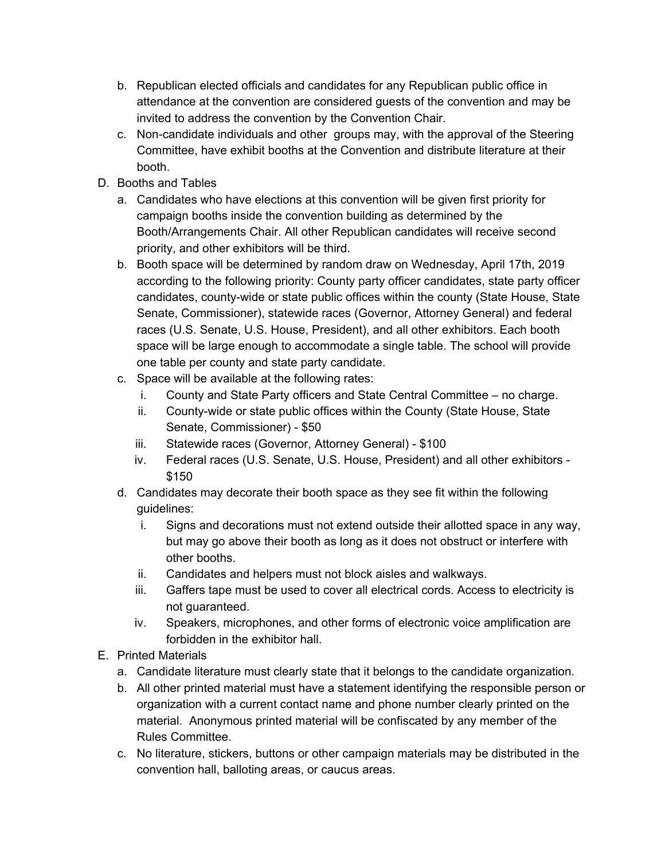- b. Republican elected officials and candidates for any Republican public office in attendance at the convention are considered guests of the convention and may be invited to address the convention by the Convention Chair.
- c. Non-candidate individuals and other groups may, with the approval of the Steering Committee, have exhibit booths at the Convention and distribute literature at their booth.
- D. Booths and Tables
	- a. Candidates who have elections at this convention will be given first priority for campaign booths inside the convention building as determined by the Booth/Arrangements Chair. All other Republican candidates will receive second priority, and other exhibitors will be third.
	- b. Booth space will be determined by random draw on Wednesday, April 17th, 2019 according to the following priority: County party officer candidates, state party officer candidates, county-wide or state public offices within the county (State House, State Senate, Commissioner), statewide races (Governor, Attorney General) and federal races (U.S. Senate, U.S. House, President), and all other exhibitors. Each booth space will be large enough to accommodate a single table. The school will provide one table per county and state party candidate.
	- c. Space will be available at the following rates:
		- i. County and State Party officers and State Central Committee no charge.
		- ii. County-wide or state public offices within the County (State House, State Senate, Commissioner) - \$50
		- iii. Statewide races (Governor, Attorney General) \$100
		- iv. Federal races (U.S. Senate, U.S. House, President) and all other exhibitors \$150
	- d. Candidates may decorate their booth space as they see fit within the following guidelines:
		- i. Signs and decorations must not extend outside their allotted space in any way, but may go above their booth as long as it does not obstruct or interfere with other booths.
		- ii. Candidates and helpers must not block aisles and walkways.
		- iii. Gaffers tape must be used to cover all electrical cords. Access to electricity is not guaranteed.
		- iv. Speakers, microphones, and other forms of electronic voice amplification are forbidden in the exhibitor hall.
- E. Printed Materials
	- a. Candidate literature must clearly state that it belongs to the candidate organization.
	- b. All other printed material must have a statement identifying the responsible person or organization with a current contact name and phone number clearly printed on the material. Anonymous printed material will be confiscated by any member of the Rules Committee.
	- c. No literature, stickers, buttons or other campaign materials may be distributed in the convention hall, balloting areas, or caucus areas.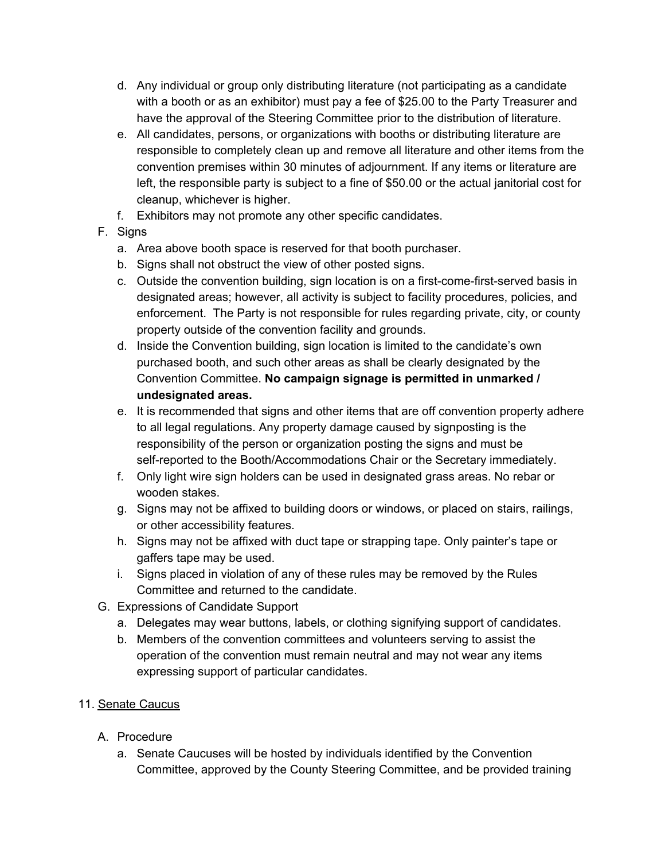- d. Any individual or group only distributing literature (not participating as a candidate with a booth or as an exhibitor) must pay a fee of \$25.00 to the Party Treasurer and have the approval of the Steering Committee prior to the distribution of literature.
- e. All candidates, persons, or organizations with booths or distributing literature are responsible to completely clean up and remove all literature and other items from the convention premises within 30 minutes of adjournment. If any items or literature are left, the responsible party is subject to a fine of \$50.00 or the actual janitorial cost for cleanup, whichever is higher.
- f. Exhibitors may not promote any other specific candidates.
- F. Signs
	- a. Area above booth space is reserved for that booth purchaser.
	- b. Signs shall not obstruct the view of other posted signs.
	- c. Outside the convention building, sign location is on a first-come-first-served basis in designated areas; however, all activity is subject to facility procedures, policies, and enforcement. The Party is not responsible for rules regarding private, city, or county property outside of the convention facility and grounds.
	- d. Inside the Convention building, sign location is limited to the candidate's own purchased booth, and such other areas as shall be clearly designated by the Convention Committee. **No campaign signage is permitted in unmarked / undesignated areas.**
	- e. It is recommended that signs and other items that are off convention property adhere to all legal regulations. Any property damage caused by signposting is the responsibility of the person or organization posting the signs and must be self-reported to the Booth/Accommodations Chair or the Secretary immediately.
	- f. Only light wire sign holders can be used in designated grass areas. No rebar or wooden stakes.
	- g. Signs may not be affixed to building doors or windows, or placed on stairs, railings, or other accessibility features.
	- h. Signs may not be affixed with duct tape or strapping tape. Only painter's tape or gaffers tape may be used.
	- i. Signs placed in violation of any of these rules may be removed by the Rules Committee and returned to the candidate.
- G. Expressions of Candidate Support
	- a. Delegates may wear buttons, labels, or clothing signifying support of candidates.
	- b. Members of the convention committees and volunteers serving to assist the operation of the convention must remain neutral and may not wear any items expressing support of particular candidates.

#### 11. Senate Caucus

- A. Procedure
	- a. Senate Caucuses will be hosted by individuals identified by the Convention Committee, approved by the County Steering Committee, and be provided training